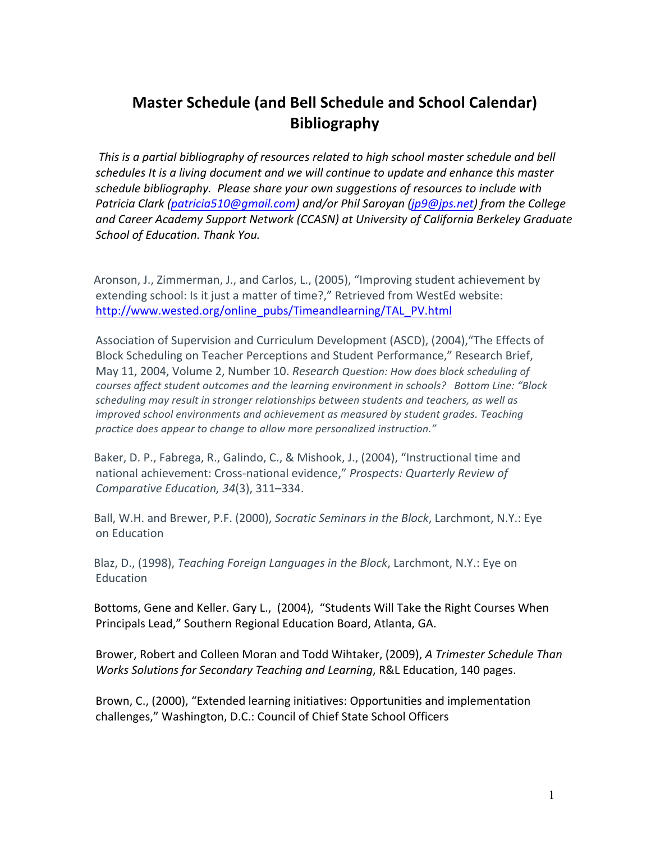## **Master Schedule (and Bell Schedule and School Calendar) Bibliography**

This is a partial bibliography of resources related to high school master schedule and bell schedules It is a living document and we will continue to update and enhance this master schedule bibliography. Please share your own suggestions of resources to include with *Patricia Clark (patricia510@gmail.com) and/or Phil Saroyan (jp9@jps.net) from the College* and Career Academy Support Network (CCASN) at University of California Berkeley Graduate School of Education. Thank You.

Aronson, J., Zimmerman, J., and Carlos, L., (2005), "Improving student achievement by extending school: Is it just a matter of time?," Retrieved from WestEd website: http://www.wested.org/online\_pubs/Timeandlearning/TAL\_PV.html

Association of Supervision and Curriculum Development (ASCD), (2004), "The Effects of Block Scheduling on Teacher Perceptions and Student Performance," Research Brief, May 11, 2004, Volume 2, Number 10. *Research Question: How does block scheduling of* courses affect student outcomes and the learning environment in schools? Bottom Line: "Block scheduling may result in stronger relationships between students and teachers, as well as *improved school environments and achievement as measured by student grades. Teaching practice does appear to change to allow more personalized instruction."* 

Baker, D. P., Fabrega, R., Galindo, C., & Mishook, J., (2004), "Instructional time and national achievement: Cross-national evidence," Prospects: Quarterly Review of *Comparative Education, 34*(3), 311–334.

Ball, W.H. and Brewer, P.F. (2000), *Socratic Seminars in the Block*, Larchmont, N.Y.: Eye on!Education

Blaz, D., (1998), *Teaching Foreign Languages in the Block*, Larchmont, N.Y.: Eye on Education

Bottoms, Gene and Keller. Gary L., (2004), "Students Will Take the Right Courses When Principals Lead," Southern Regional Education Board, Atlanta, GA.

Brower, Robert and Colleen Moran and Todd Wihtaker, (2009), *A Trimester Schedule Than Works Solutions for Secondary Teaching and Learning*, R&L Education, 140 pages.

Brown, C., (2000), "Extended learning initiatives: Opportunities and implementation challenges," Washington, D.C.: Council of Chief State School Officers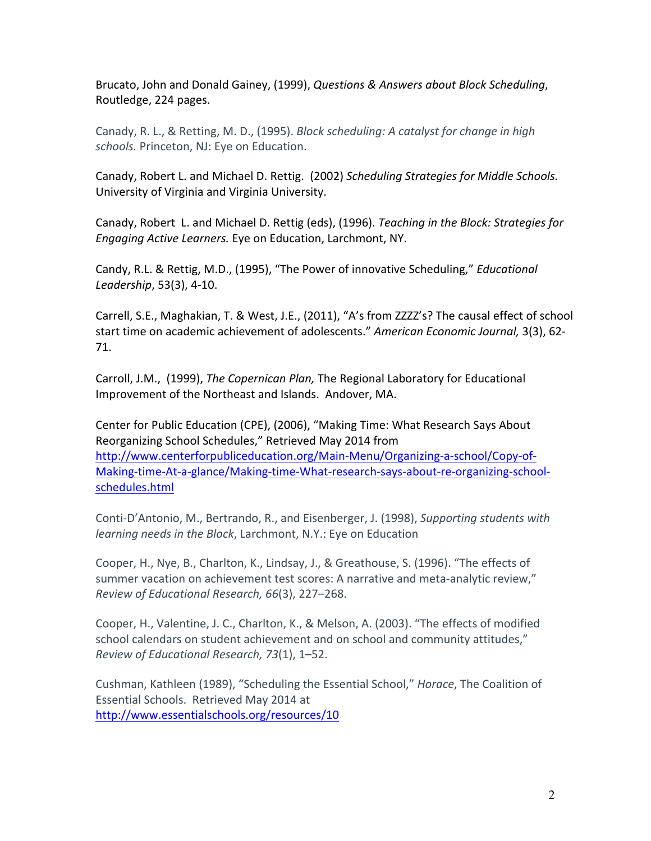Brucato, John and Donald Gainey, (1999), *Questions & Answers about Block Scheduling*, Routledge, 224 pages.

Canady, R. L., & Retting, M. D., (1995). *Block scheduling: A catalyst for change in high* schools. Princeton, NJ: Eye on Education.

Canady, Robert L. and Michael D. Rettig. (2002) Scheduling Strategies for Middle Schools. University of Virginia and Virginia University.

Canady, Robert L. and Michael D. Rettig (eds), (1996). *Teaching in the Block: Strategies for Engaging Active Learners.* Eye on Education, Larchmont, NY.

Candy, R.L. & Rettig, M.D., (1995), "The Power of innovative Scheduling," *Educational Leadership*, 53(3), 4-10.

Carrell, S.E., Maghakian, T. & West, J.E., (2011), "A's from ZZZZ's? The causal effect of school start time on academic achievement of adolescents." American Economic Journal, 3(3), 62-71.

Carroll, J.M., (1999), *The Copernican Plan*, The Regional Laboratory for Educational Improvement of the Northeast and Islands. Andover, MA.

Center for Public Education (CPE), (2006), "Making Time: What Research Says About Reorganizing School Schedules," Retrieved May 2014 from http://www.centerforpubliceducation.org/Main-Menu/Organizing-a-school/Copy-of-Making-time-At-a-glance/Making-time-What-research-says-about-re-organizing-schoolschedules.html

Conti-D'Antonio, M., Bertrando, R., and Eisenberger, J. (1998), *Supporting students with learning needs in the Block, Larchmont, N.Y.: Eye on Education* 

Cooper, H., Nye, B., Charlton, K., Lindsay, J., & Greathouse, S. (1996). "The effects of summer vacation on achievement test scores: A narrative and meta-analytic review," *Review!of!Educational!Research,!66*(3),!227–268.

Cooper, H., Valentine, J. C., Charlton, K., & Melson, A. (2003). "The effects of modified school calendars on student achievement and on school and community attitudes," *Review!of!Educational Research,!73*(1),!1–52.

Cushman, Kathleen (1989), "Scheduling the Essential School," *Horace*, The Coalition of Essential Schools. Retrieved May 2014 at http://www.essentialschools.org/resources/10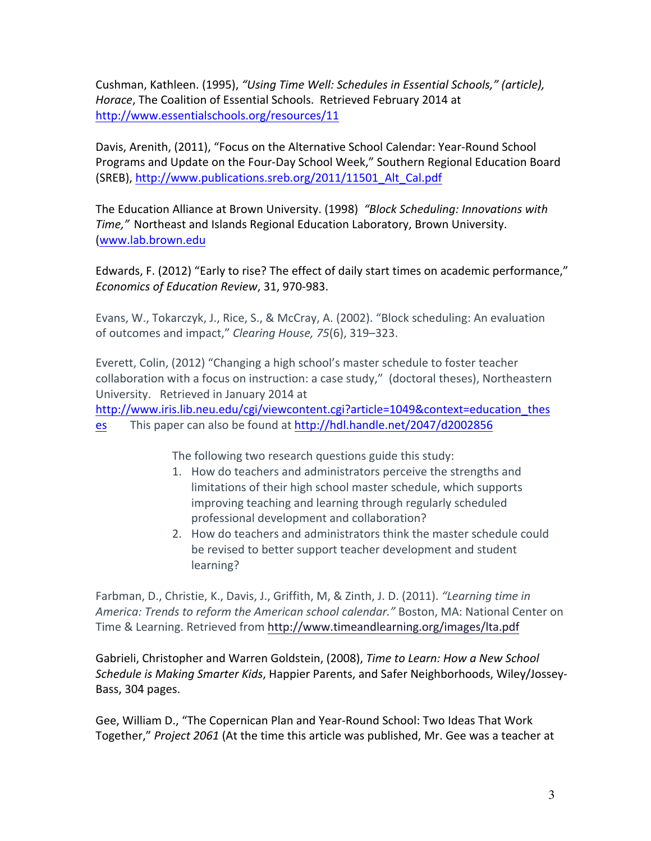Cushman, Kathleen. (1995), "Using Time Well: Schedules in *Essential Schools," (article)*, Horace, The Coalition of Essential Schools. Retrieved February 2014 at http://www.essentialschools.org/resources/11

Davis, Arenith, (2011), "Focus on the Alternative School Calendar: Year-Round School Programs and Update on the Four-Day School Week," Southern Regional Education Board (SREB), http://www.publications.sreb.org/2011/11501\_Alt\_Cal.pdf

The Education Alliance at Brown University. (1998) "Block Scheduling: Innovations with *Time,"* Northeast and Islands Regional Education Laboratory, Brown University. (www.lab.brown.edu

Edwards, F. (2012) "Early to rise? The effect of daily start times on academic performance," *Economics of Education Review, 31, 970-983.* 

Evans, W., Tokarczyk, J., Rice, S., & McCray, A. (2002). "Block scheduling: An evaluation of outcomes and impact," *Clearing House, 75*(6), 319–323.

Everett, Colin, (2012) "Changing a high school's master schedule to foster teacher collaboration with a focus on instruction: a case study," (doctoral theses), Northeastern University. Retrieved in January 2014 at

http://www.iris.lib.neu.edu/cgi/viewcontent.cgi?article=1049&context=education\_thes es This paper can also be found at http://hdl.handle.net/2047/d2002856

The following two research questions guide this study:

- 1. How do teachers and administrators perceive the strengths and limitations of their high school master schedule, which supports improving teaching and learning through regularly scheduled professional development and collaboration?
- 2. How do teachers and administrators think the master schedule could be revised to better support teacher development and student learning?

Farbman, D., Christie, K., Davis, J., Griffith, M, & Zinth, J. D. (2011). *"Learning time in* America: Trends to reform the American school calendar." Boston, MA: National Center on Time & Learning. Retrieved from http://www.timeandlearning.org/images/lta.pdf

Gabrieli, Christopher and Warren Goldstein, (2008), *Time to Learn: How a New School* Schedule is Making Smarter Kids, Happier Parents, and Safer Neighborhoods, Wiley/Jossey-Bass, 304 pages.

Gee, William D., "The Copernican Plan and Year-Round School: Two Ideas That Work Together," Project 2061 (At the time this article was published, Mr. Gee was a teacher at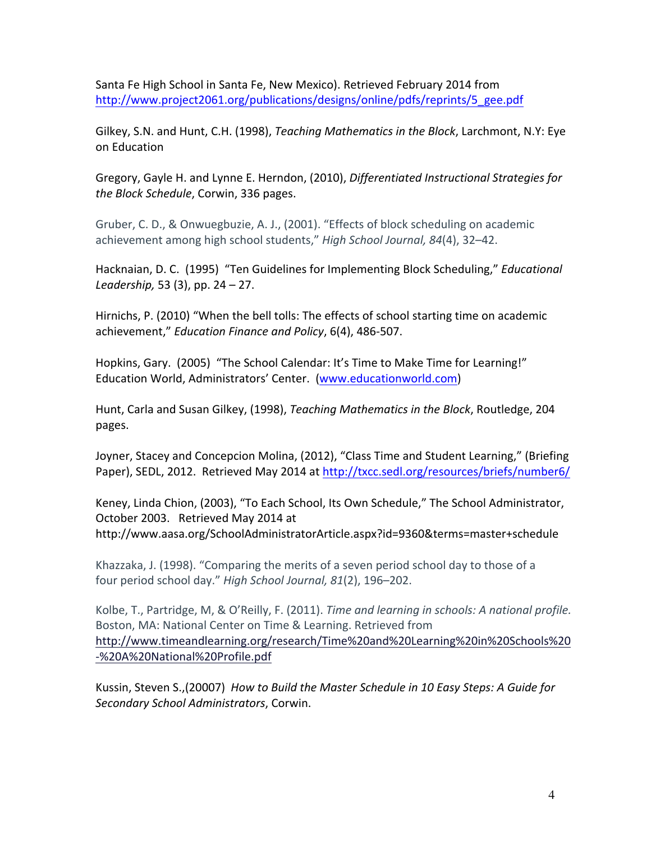Santa Fe High School in Santa Fe, New Mexico). Retrieved February 2014 from http://www.project2061.org/publications/designs/online/pdfs/reprints/5\_gee.pdf

Gilkey, S.N. and Hunt, C.H. (1998), *Teaching Mathematics in the Block*, Larchmont, N.Y: Eye on!Education

Gregory, Gayle H. and Lynne E. Herndon, (2010), *Differentiated Instructional Strategies for* the Block Schedule, Corwin, 336 pages.

Gruber, C. D., & Onwuegbuzie, A. J., (2001). "Effects of block scheduling on academic achievement among high school students," *High School Journal, 84*(4), 32–42.

Hacknaian, D. C. (1995) "Ten Guidelines for Implementing Block Scheduling," *Educational Leadership,* 53 (3), pp. 24 – 27.

Hirnichs, P. (2010) "When the bell tolls: The effects of school starting time on academic achievement," *Education Finance and Policy*, 6(4), 486-507.

Hopkins, Gary. (2005) "The School Calendar: It's Time to Make Time for Learning!" Education World, Administrators' Center. (www.educationworld.com)

Hunt, Carla and Susan Gilkey, (1998), *Teaching Mathematics in the Block*, Routledge, 204 pages.

Joyner, Stacey and Concepcion Molina, (2012), "Class Time and Student Learning," (Briefing Paper), SEDL, 2012. Retrieved May 2014 at http://txcc.sedl.org/resources/briefs/number6/

Keney, Linda Chion, (2003), "To Each School, Its Own Schedule," The School Administrator, October 2003. Retrieved May 2014 at http://www.aasa.org/SchoolAdministratorArticle.aspx?id=9360&terms=master+schedule

Khazzaka, J. (1998). "Comparing the merits of a seven period school day to those of a four period school day." *High School Journal, 81*(2), 196–202.

Kolbe, T., Partridge, M, & O'Reilly, F. (2011). *Time and learning in schools: A national profile.* Boston, MA: National Center on Time & Learning. Retrieved from http://www.timeandlearning.org/research/Time%20and%20Learning%20in%20Schools%20 -%20A%20National%20Profile.pdf

Kussin, Steven S.,(20007) *How to Build the Master Schedule in 10 Easy Steps: A Guide for Secondary!School!Administrators*,!Corwin.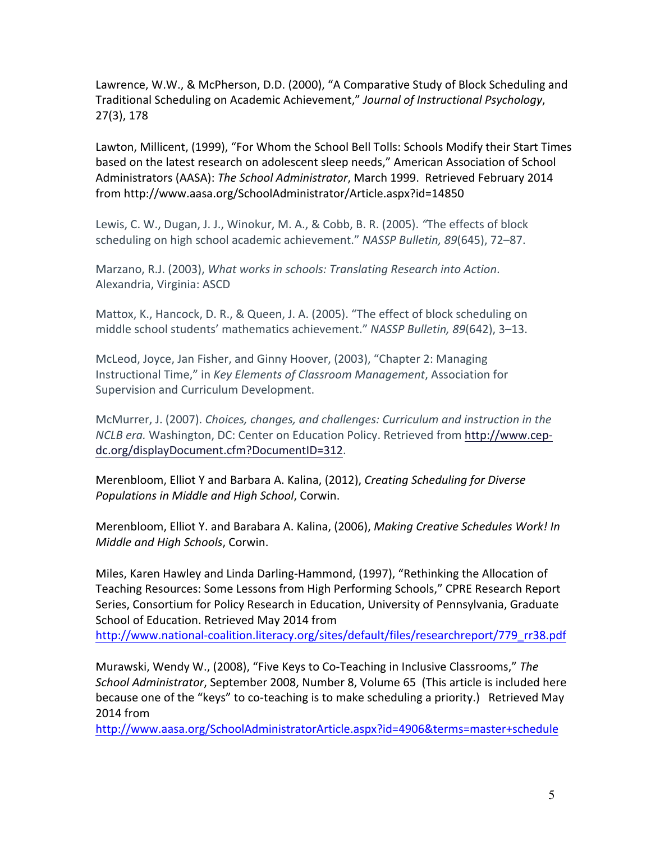Lawrence, W.W., & McPherson, D.D. (2000), "A Comparative Study of Block Scheduling and Traditional Scheduling on Academic Achievement," Journal of Instructional Psychology, 27(3), 178

Lawton, Millicent, (1999), "For Whom the School Bell Tolls: Schools Modify their Start Times based on the latest research on adolescent sleep needs," American Association of School Administrators (AASA): The School Administrator, March 1999. Retrieved February 2014 from!http://www.aasa.org/SchoolAdministrator/Article.aspx?id=14850

Lewis, C. W., Dugan, J. J., Winokur, M. A., & Cobb, B. R. (2005). *"The effects of block* scheduling on high school academic achievement." *NASSP Bulletin, 89*(645), 72–87.

Marzano, R.J. (2003), *What works in schools: Translating Research into Action.* Alexandria, Virginia: ASCD

Mattox, K., Hancock, D. R., & Queen, J. A. (2005). "The effect of block scheduling on middle school students' mathematics achievement." *NASSP Bulletin, 89*(642), 3–13.

McLeod, Joyce, Jan Fisher, and Ginny Hoover, (2003), "Chapter 2: Managing Instructional Time," in *Key Elements of Classroom Management*, Association for Supervision and Curriculum Development.

McMurrer, J. (2007). *Choices, changes, and challenges: Curriculum and instruction in the NCLB era.* Washington, DC: Center on Education Policy. Retrieved from http://www.cepdc.org/displayDocument.cfm?DocumentID=312.

Merenbloom, Elliot Y and Barbara A. Kalina, (2012), *Creating Scheduling for Diverse* Populations in Middle and High School, Corwin.

Merenbloom, Elliot Y. and Barabara A. Kalina, (2006), *Making Creative Schedules Work! In Middle and High Schools*, Corwin.

Miles, Karen Hawley and Linda Darling-Hammond, (1997), "Rethinking the Allocation of Teaching Resources: Some Lessons from High Performing Schools," CPRE Research Report Series, Consortium for Policy Research in Education, University of Pennsylvania, Graduate School of Education. Retrieved May 2014 from http://www.national-coalition.literacy.org/sites/default/files/researchreport/779\_rr38.pdf

Murawski, Wendy W., (2008), "Five Keys to Co-Teaching in Inclusive Classrooms," The School Administrator, September 2008, Number 8, Volume 65 (This article is included here because one of the "keys" to co-teaching is to make scheduling a priority.) Retrieved May 2014 from

http://www.aasa.org/SchoolAdministratorArticle.aspx?id=4906&terms=master+schedule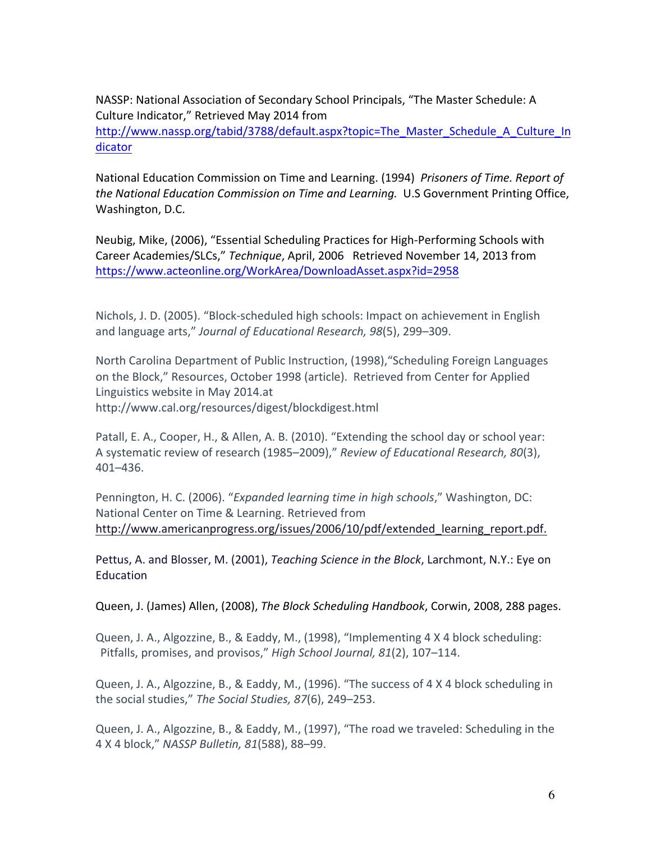NASSP: National Association of Secondary School Principals, "The Master Schedule: A Culture Indicator," Retrieved May 2014 from

http://www.nassp.org/tabid/3788/default.aspx?topic=The\_Master\_Schedule\_A\_Culture\_In dicator

National Education Commission on Time and Learning. (1994) Prisoners of Time. Report of *the National Education Commission on Time and Learning.* U.S Government Printing Office, Washington, D.C.

Neubig, Mike, (2006), "Essential Scheduling Practices for High-Performing Schools with Career Academies/SLCs," *Technique*, April, 2006 Retrieved November 14, 2013 from https://www.acteonline.org/WorkArea/DownloadAsset.aspx?id=2958

Nichols, J. D. (2005). "Block-scheduled high schools: Impact on achievement in English and language arts," Journal of Educational Research, 98(5), 299–309.

North Carolina Department of Public Instruction, (1998), "Scheduling Foreign Languages on the Block," Resources, October 1998 (article). Retrieved from Center for Applied Linguistics website in May 2014.at http://www.cal.org/resources/digest/blockdigest.html

Patall, E. A., Cooper, H., & Allen, A. B. (2010). "Extending the school day or school year: A systematic review of research (1985–2009)," *Review of Educational Research, 80*(3), 401–436.

Pennington, H. C. (2006). "*Expanded learning time in high schools*," Washington, DC: National Center on Time & Learning. Retrieved from http://www.americanprogress.org/issues/2006/10/pdf/extended learning report.pdf.

Pettus, A. and Blosser, M. (2001), *Teaching Science in the Block*, Larchmont, N.Y.: Eye on Education

Queen, J. (James) Allen, (2008), *The Block Scheduling Handbook*, Corwin, 2008, 288 pages.

Queen, J. A., Algozzine, B., & Eaddy, M., (1998), "Implementing 4 X 4 block scheduling: Pitfalls, promises, and provisos," *High School Journal, 81*(2), 107–114.

Queen, J. A., Algozzine, B., & Eaddy, M., (1996). "The success of 4 X 4 block scheduling in the social studies," The Social Studies, 87(6), 249–253.

Queen, J. A., Algozzine, B., & Eaddy, M., (1997), "The road we traveled: Scheduling in the 4!X!4!block,"!*NASSP!Bulletin,!81*(588),!88–99.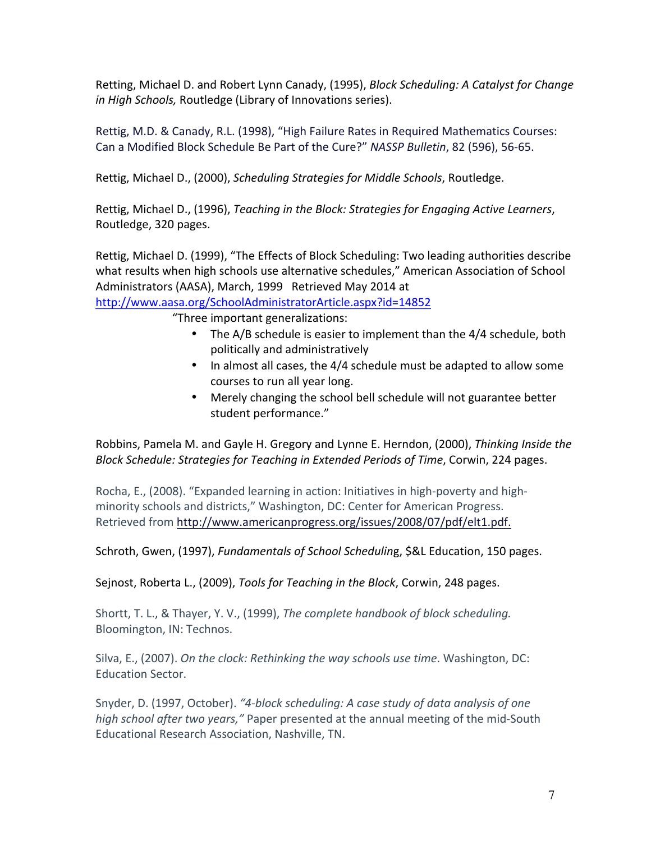Retting, Michael D. and Robert Lynn Canady, (1995), *Block Scheduling: A Catalyst for Change in High Schools, Routledge (Library of Innovations series).* 

Rettig, M.D. & Canady, R.L. (1998), "High Failure Rates in Required Mathematics Courses: Can a Modified Block Schedule Be Part of the Cure?" *NASSP Bulletin*, 82 (596), 56-65.

Rettig, Michael D., (2000), *Scheduling Strategies for Middle Schools*, Routledge.

Rettig, Michael D., (1996), *Teaching in the Block: Strategies for Engaging Active Learners*, Routledge, 320 pages.

Rettig, Michael D. (1999), "The Effects of Block Scheduling: Two leading authorities describe what results when high schools use alternative schedules," American Association of School Administrators (AASA), March, 1999 Retrieved May 2014 at

http://www.aasa.org/SchoolAdministratorArticle.aspx?id=14852

"Three important generalizations:

- The A/B schedule is easier to implement than the  $4/4$  schedule, both politically!and!administratively
- In almost all cases, the 4/4 schedule must be adapted to allow some courses to run all year long.
- Merely changing the school bell schedule will not guarantee better student performance."

Robbins, Pamela M. and Gayle H. Gregory and Lynne E. Herndon, (2000), *Thinking Inside the Block Schedule: Strategies for Teaching in Extended Periods of Time, Corwin, 224 pages.* 

Rocha, E., (2008). "Expanded learning in action: Initiatives in high-poverty and highminority schools and districts," Washington, DC: Center for American Progress. Retrieved from http://www.americanprogress.org/issues/2008/07/pdf/elt1.pdf.

Schroth, Gwen, (1997), *Fundamentals of School Scheduling*, \$&L Education, 150 pages.

Sejnost, Roberta L., (2009), *Tools for Teaching in the Block*, Corwin, 248 pages.

Shortt, T. L., & Thayer, Y. V., (1999), *The complete handbook of block scheduling.* Bloomington, IN: Technos.

Silva, E., (2007). *On the clock: Rethinking the way schools use time*. Washington, DC: Education Sector.

Snyder, D. (1997, October). "4-block scheduling: A case study of data analysis of one *high school after two years,"* Paper presented at the annual meeting of the mid-South Educational Research Association, Nashville, TN.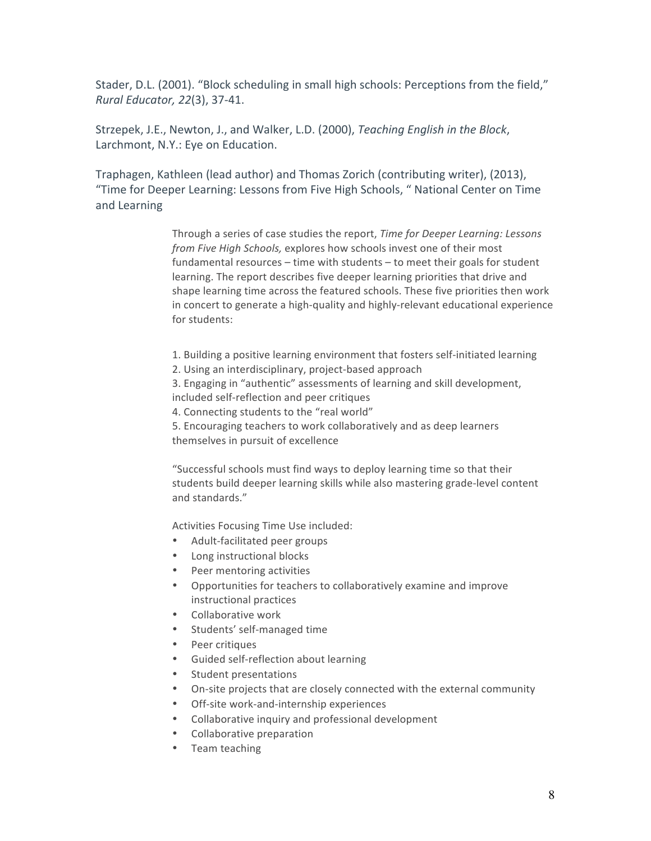Stader, D.L. (2001). "Block scheduling in small high schools: Perceptions from the field," *Rural Educator, 22(3), 37-41.* 

Strzepek, J.E., Newton, J., and Walker, L.D. (2000), *Teaching English in the Block*, Larchmont, N.Y.: Eye on Education.

Traphagen, Kathleen (lead author) and Thomas Zorich (contributing writer), (2013), "Time for Deeper Learning: Lessons from Five High Schools, " National Center on Time and Learning

> Through a series of case studies the report, *Time for Deeper Learning: Lessons from Five High Schools, explores how schools invest one of their most* fundamental resources – time with students – to meet their goals for student learning. The report describes five deeper learning priorities that drive and shape learning time across the featured schools. These five priorities then work in concert to generate a high-quality and highly-relevant educational experience for students:

- 1. Building a positive learning environment that fosters self-initiated learning
- 2. Using an interdisciplinary, project-based approach

3. Engaging in "authentic" assessments of learning and skill development, included self-reflection and peer critiques

4. Connecting students to the "real world"

5. Encouraging teachers to work collaboratively and as deep learners themselves in pursuit of excellence

"Successful schools must find ways to deploy learning time so that their students build deeper learning skills while also mastering grade-level content and standards."

Activities Focusing Time Use included:

- Adult-facilitated peer groups
- Long instructional blocks
- Peer mentoring activities
- Opportunities for teachers to collaboratively examine and improve instructional practices
- Collaborative work
- Students' self-managed time
- Peer critiques
- Guided self-reflection about learning
- Student presentations
- On-site projects that are closely connected with the external community
- Off-site work-and-internship experiences
- Collaborative inquiry and professional development
- Collaborative preparation
- Team teaching